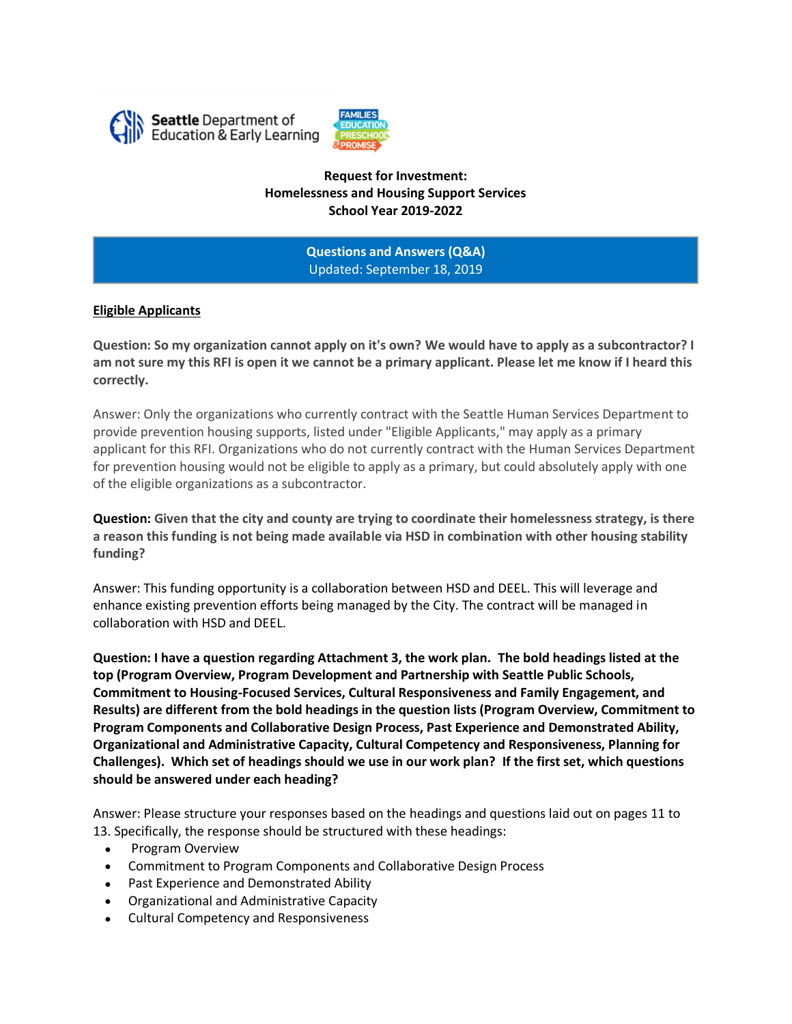



**Request for Investment: Homelessness and Housing Support Services School Year 2019-2022**

> **Questions and Answers (Q&A)** Updated: September 18, 2019

### **Eligible Applicants**

**Question: So my organization cannot apply on it's own? We would have to apply as a subcontractor? I am not sure my this RFI is open it we cannot be a primary applicant. Please let me know if I heard this correctly.**

Answer: Only the organizations who currently contract with the Seattle Human Services Department to provide prevention housing supports, listed under "Eligible Applicants," may apply as a primary applicant for this RFI. Organizations who do not currently contract with the Human Services Department for prevention housing would not be eligible to apply as a primary, but could absolutely apply with one of the eligible organizations as a subcontractor.

**Question: Given that the city and county are trying to coordinate their homelessness strategy, is there a reason this funding is not being made available via HSD in combination with other housing stability funding?**

Answer: This funding opportunity is a collaboration between HSD and DEEL. This will leverage and enhance existing prevention efforts being managed by the City. The contract will be managed in collaboration with HSD and DEEL.

**Question: I have a question regarding Attachment 3, the work plan. The bold headings listed at the top (Program Overview, Program Development and Partnership with Seattle Public Schools, Commitment to Housing-Focused Services, Cultural Responsiveness and Family Engagement, and Results) are different from the bold headings in the question lists (Program Overview, Commitment to Program Components and Collaborative Design Process, Past Experience and Demonstrated Ability, Organizational and Administrative Capacity, Cultural Competency and Responsiveness, Planning for Challenges). Which set of headings should we use in our work plan? If the first set, which questions should be answered under each heading?**

Answer: Please structure your responses based on the headings and questions laid out on pages 11 to 13. Specifically, the response should be structured with these headings:

- Program Overview
- Commitment to Program Components and Collaborative Design Process
- Past Experience and Demonstrated Ability
- Organizational and Administrative Capacity
- Cultural Competency and Responsiveness